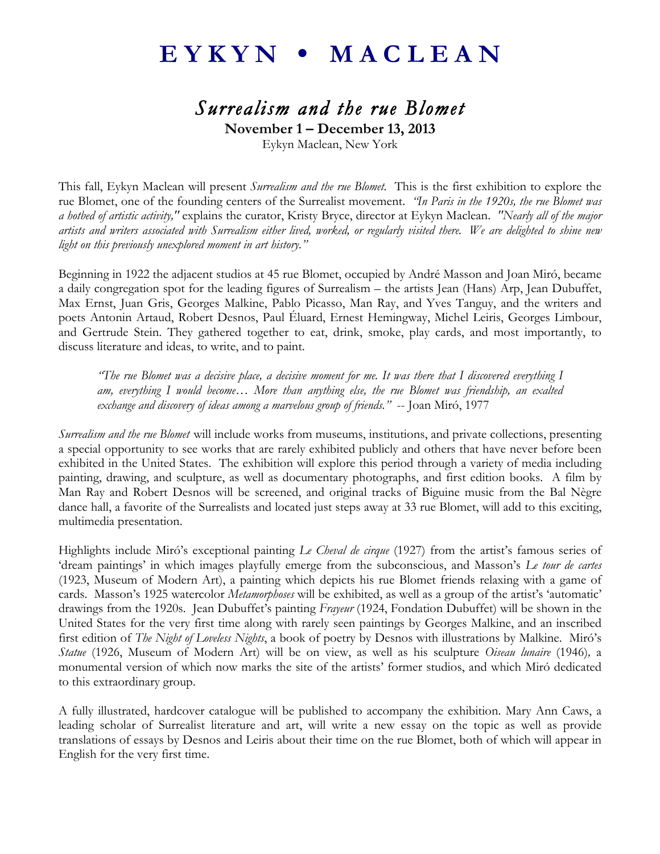## EYKYN • MACLEAN

## *Surrealism and the rue Blomet*

**November 1 – December 13, 2013**

Eykyn Maclean, New York

This fall, Eykyn Maclean will present *Surrealism and the rue Blomet.* This is the first exhibition to explore the rue Blomet, one of the founding centers of the Surrealist movement. *"In Paris in the 1920s, the rue Blomet was a hotbed of artistic activity,"* explains the curator, Kristy Bryce, director at Eykyn Maclean. *"Nearly all of the major artists and writers associated with Surrealism either lived, worked, or regularly visited there. We are delighted to shine new light on this previously unexplored moment in art history."*

Beginning in 1922 the adjacent studios at 45 rue Blomet, occupied by André Masson and Joan Miró, became a daily congregation spot for the leading figures of Surrealism – the artists Jean (Hans) Arp, Jean Dubuffet, Max Ernst, Juan Gris, Georges Malkine, Pablo Picasso, Man Ray, and Yves Tanguy, and the writers and poets Antonin Artaud, Robert Desnos, Paul Éluard, Ernest Hemingway, Michel Leiris, Georges Limbour, and Gertrude Stein. They gathered together to eat, drink, smoke, play cards, and most importantly, to discuss literature and ideas, to write, and to paint.

*"The rue Blomet was a decisive place, a decisive moment for me. It was there that I discovered everything I am, everything I would become… More than anything else, the rue Blomet was friendship, an exalted exchange and discovery of ideas among a marvelous group of friends."* -- Joan Miró, 1977

*Surrealism and the rue Blomet* will include works from museums, institutions, and private collections, presenting a special opportunity to see works that are rarely exhibited publicly and others that have never before been exhibited in the United States. The exhibition will explore this period through a variety of media including painting, drawing, and sculpture, as well as documentary photographs, and first edition books. A film by Man Ray and Robert Desnos will be screened, and original tracks of Biguine music from the Bal Nègre dance hall, a favorite of the Surrealists and located just steps away at 33 rue Blomet, will add to this exciting, multimedia presentation.

Highlights include Miró's exceptional painting *Le Cheval de cirque* (1927) from the artist's famous series of 'dream paintings' in which images playfully emerge from the subconscious, and Masson's *Le tour de cartes* (1923, Museum of Modern Art), a painting which depicts his rue Blomet friends relaxing with a game of cards. Masson's 1925 watercolor *Metamorphoses* will be exhibited, as well as a group of the artist's 'automatic' drawings from the 1920s. Jean Dubuffet's painting *Frayeur* (1924, Fondation Dubuffet) will be shown in the United States for the very first time along with rarely seen paintings by Georges Malkine, and an inscribed first edition of *The Night of Loveless Nights*, a book of poetry by Desnos with illustrations by Malkine. Miró's *Statue* (1926, Museum of Modern Art) will be on view, as well as his sculpture *Oiseau lunaire* (1946)*,* a monumental version of which now marks the site of the artists' former studios, and which Miró dedicated to this extraordinary group.

A fully illustrated, hardcover catalogue will be published to accompany the exhibition. Mary Ann Caws, a leading scholar of Surrealist literature and art, will write a new essay on the topic as well as provide translations of essays by Desnos and Leiris about their time on the rue Blomet, both of which will appear in English for the very first time.